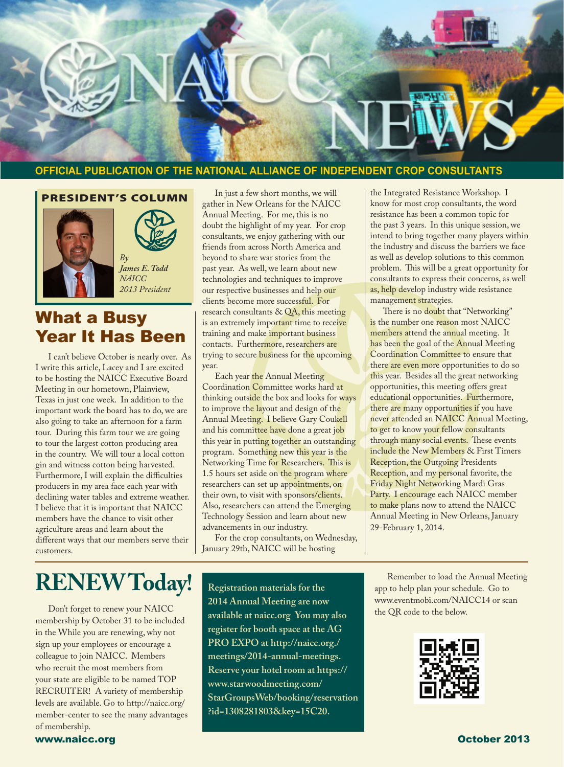

#### **OFFICIAL PUBLICATION OF THE NATIONAL ALLIANCE OF INDEPENDENT CROP CONSULTANTS**

#### PRESIDENT'S COLUMN





*James E. Todd NAICC 2013 President*

## What a Busy Year It Has Been

I can't believe October is nearly over. As I write this article, Lacey and I are excited to be hosting the NAICC Executive Board Meeting in our hometown, Plainview, Texas in just one week. In addition to the important work the board has to do, we are also going to take an afternoon for a farm tour. During this farm tour we are going to tour the largest cotton producing area in the country. We will tour a local cotton gin and witness cotton being harvested. Furthermore, I will explain the difficulties producers in my area face each year with declining water tables and extreme weather. I believe that it is important that NAICC members have the chance to visit other agriculture areas and learn about the different ways that our members serve their customers.

In just a few short months, we will gather in New Orleans for the NAICC Annual Meeting. For me, this is no doubt the highlight of my year. For crop consultants, we enjoy gathering with our friends from across North America and beyond to share war stories from the past year. As well, we learn about new technologies and techniques to improve our respective businesses and help our clients become more successful. For research consultants & QA, this meeting is an extremely important time to receive training and make important business contacts. Furthermore, researchers are trying to secure **business** for the upcoming year.

Each year the Annual Meeting Coordination Committee works hard at thinking outside the box and looks for ways to improve the layout and design of the Annual Meeting. I believe Gary Coukell and his committee have done a great job this year in putting together an outstanding program. Something new this year is the Networking Time for Researchers. This is 1.5 hours set aside on the program where researchers can set up appointments, on their own, to visit with sponsors/clients. Also, researchers can attend the Emerging Technology Session and learn about new advancements in our industry.

For the crop consultants, on Wednesday, January 29th, NAICC will be hosting

the Integrated Resistance Workshop. I know for most crop consultants, the word resistance has been a common topic for the past 3 years. In this unique session, we intend to bring together many players within the industry and discuss the barriers we face as well as develop solutions to this common problem. This will be a great opportunity for consultants to express their concerns, as well as, help develop industry wide resistance management strategies.

There is no doubt that "Networking" is the number one reason most NAICC members attend the annual meeting. It has been the goal of the Annual Meeting Coordination Committee to ensure that there are even more opportunities to do so this year. Besides all the great networking opportunities, this meeting offers great educational opportunities. Furthermore, there are many opportunities if you have never attended an NAICC Annual Meeting, to get to know your fellow consultants through many social events. These events include the New Members & First Timers Reception, the Outgoing Presidents Reception, and my personal favorite, the Friday Night Networking Mardi Gras Party. I encourage each NAICC member to make plans now to attend the NAICC Annual Meeting in New Orleans, January 29-February 1, 2014.

## RENEW Today! Registration materials for the **Remember to load the Annual Meeting**

Don't forget to renew your NAICC membership by October 31 to be included in the While you are renewing, why not sign up your employees or encourage a colleague to join NAICC. Members who recruit the most members from your state are eligible to be named TOP RECRUITER! A variety of membership levels are available. Go to http://naicc.org/ member-center to see the many advantages of membership.

**Registration materials for the 2014 Annual Meeting are now available at naicc.org You may also register for booth space at the AG PRO EXPO at http://naicc.org./ meetings/2014-annual-meetings. Reserve your hotel room at https:// www.starwoodmeeting.com/ StarGroupsWeb/booking/reservation ?id=1308281803&key=15C20.**

app to help plan your schedule. Go to www.eventmobi.com/NAICC14 or scan the QR code to the below.

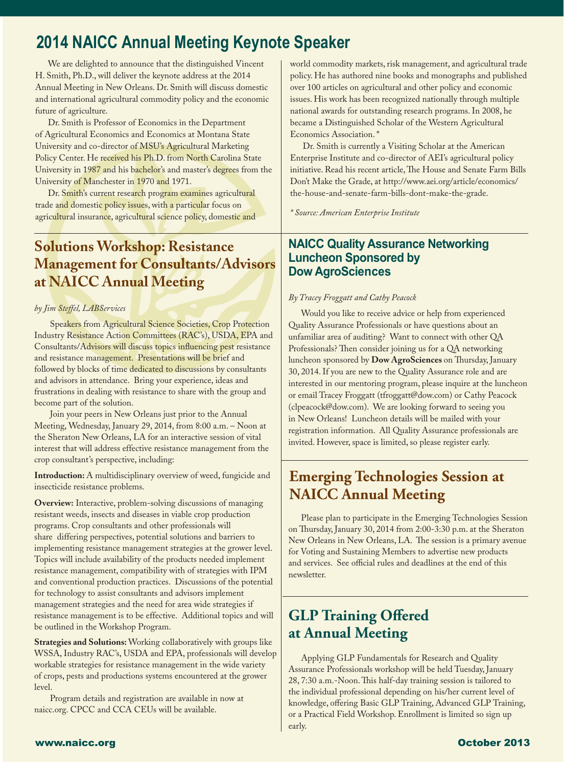## **2014 NAICC Annual Meeting Keynote Speaker**

We are delighted to announce that the distinguished Vincent H. Smith, Ph.D., will deliver the keynote address at the 2014 Annual Meeting in New Orleans. Dr. Smith will discuss domestic and international agricultural commodity policy and the economic future of agriculture.

Dr. Smith is Professor of Economics in the Department of Agricultural Economics and Economics at Montana State University and co-director of MSU's Agricultural Marketing Policy Center. He received his Ph.D. from North Carolina State University in 1987 and his bachelor's and master's degrees from the University of Manchester in 1970 and 1971.

Dr. Smith's current research program examines agricultural trade and domestic policy issues, with a particular focus on agricultural insurance, agricultural science policy, domestic and

## **Solutions Workshop: Resistance Management for Consultants/Advisors at NAICC Annual Meeting**

#### *by Jim Steffel, LABServices*

Speakers from Agricultural Science Societies, Crop Protection Industry Resistance Action Committees (RAC's), USDA, EPA and Consultants/Advisors will discuss topics influencing pest resistance and resistance management. Presentations will be brief and followed by blocks of time dedicated to discussions by consultants and advisors in attendance. Bring your experience, ideas and frustrations in dealing with resistance to share with the group and become part of the solution.

Join your peers in New Orleans just prior to the Annual Meeting, Wednesday, January 29, 2014, from 8:00 a.m. – Noon at the Sheraton New Orleans, LA for an interactive session of vital interest that will address effective resistance management from the crop consultant's perspective, including:

**Introduction:** A multidisciplinary overview of weed, fungicide and insecticide resistance problems.

**Overview:** Interactive, problem-solving discussions of managing resistant weeds, insects and diseases in viable crop production programs. Crop consultants and other professionals will share differing perspectives, potential solutions and barriers to implementing resistance management strategies at the grower level. Topics will include availability of the products needed implement resistance management, compatibility with of strategies with IPM and conventional production practices. Discussions of the potential for technology to assist consultants and advisors implement management strategies and the need for area wide strategies if resistance management is to be effective. Additional topics and will be outlined in the Workshop Program.

**Strategies and Solutions:** Working collaboratively with groups like WSSA, Industry RAC's, USDA and EPA, professionals will develop workable strategies for resistance management in the wide variety of crops, pests and productions systems encountered at the grower level.

Program details and registration are available in now at naicc.org. CPCC and CCA CEUs will be available.

world commodity markets, risk management, and agricultural trade policy. He has authored nine books and monographs and published over 100 articles on agricultural and other policy and economic issues. His work has been recognized nationally through multiple national awards for outstanding research programs. In 2008, he became a Distinguished Scholar of the Western Agricultural Economics Association. \*

Dr. Smith is currently a Visiting Scholar at the American Enterprise Institute and co-director of AEI's agricultural policy initiative. Read his recent article, The House and Senate Farm Bills Don't Make the Grade, at http://www.aei.org/article/economics/ the-house-and-senate-farm-bills-dont-make-the-grade.

*\* Source: American Enterprise Institute*

#### **NAICC Quality Assurance Networking Luncheon Sponsored by Dow AgroSciences**

#### *By Tracey Froggatt and Cathy Peacock*

Would you like to receive advice or help from experienced Quality Assurance Professionals or have questions about an unfamiliar area of auditing? Want to connect with other QA Professionals? Then consider joining us for a QA networking luncheon sponsored by **Dow AgroSciences** on Thursday, January 30, 2014. If you are new to the Quality Assurance role and are interested in our mentoring program, please inquire at the luncheon or email Tracey Froggatt (tfroggatt@dow.com) or Cathy Peacock (clpeacock@dow.com). We are looking forward to seeing you in New Orleans! Luncheon details will be mailed with your registration information. All Quality Assurance professionals are invited. However, space is limited, so please register early.

## **Emerging Technologies Session at NAICC Annual Meeting**

Please plan to participate in the Emerging Technologies Session on Thursday, January 30, 2014 from 2:00-3:30 p.m. at the Sheraton New Orleans in New Orleans, LA. The session is a primary avenue for Voting and Sustaining Members to advertise new products and services. See official rules and deadlines at the end of this newsletter.

## **GLP Training Offered at Annual Meeting**

Applying GLP Fundamentals for Research and Quality Assurance Professionals workshop will be held Tuesday, January 28, 7:30 a.m.-Noon. This half-day training session is tailored to the individual professional depending on his/her current level of knowledge, offering Basic GLP Training, Advanced GLP Training, or a Practical Field Workshop. Enrollment is limited so sign up early.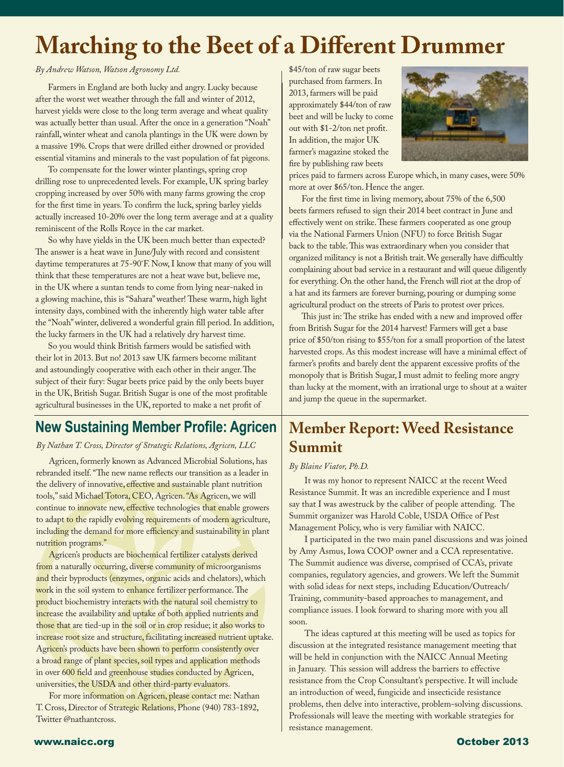# **Marching to the Beet of a Different Drummer**

#### *By Andrew Watson, Watson Agronomy Ltd.*

Farmers in England are both lucky and angry. Lucky because after the worst wet weather through the fall and winter of 2012, harvest yields were close to the long term average and wheat quality was actually better than usual. After the once in a generation "Noah" rainfall, winter wheat and canola plantings in the UK were down by a massive 19%. Crops that were drilled either drowned or provided essential vitamins and minerals to the vast population of fat pigeons.

To compensate for the lower winter plantings, spring crop drilling rose to unprecedented levels. For example, UK spring barley cropping increased by over 50% with many farms growing the crop for the first time in years. To confirm the luck, spring barley yields actually increased 10-20% over the long term average and at a quality reminiscent of the Rolls Royce in the car market.

So why have yields in the UK been much better than expected? The answer is a heat wave in June/July with record and consistent daytime temperatures at 75-90˚F. Now, I know that many of you will think that these temperatures are not a heat wave but, believe me, in the UK where a suntan tends to come from lying near-naked in a glowing machine, this is "Sahara" weather! These warm, high light intensity days, combined with the inherently high water table after the "Noah" winter, delivered a wonderful grain fill period. In addition, the lucky farmers in the UK had a relatively dry harvest time.

So you would think British farmers would be satisfied with their lot in 2013. But no! 2013 saw UK farmers become militant and astoundingly cooperative with each other in their anger. The subject of their fury: Sugar beets price paid by the only beets buyer in the UK, British Sugar. British Sugar is one of the most profitable agricultural businesses in the UK, reported to make a net profit of

## **New Sustaining Member Profile: Agricen**

#### *By Nathan T. Cross, Director of Strategic Relations, Agricen, LLC*

Agricen, formerly known as Advanced Microbial Solutions, has rebranded itself. "The new name reflects our transition as a leader in the delivery of innovative, effective and sustainable plant nutrition tools," said Michael Totora, CEO, Agricen. "As Agricen, we will continue to innovate new, effective technologies that enable growers to adapt to the rapidly evolving requirements of modern agriculture, including the demand for more efficiency and sustainability in plant nutrition programs."

Agricen's products are biochemical fertilizer catalysts derived from a naturally occurring, diverse community of microorganisms and their byproducts (enzymes, organic acids and chelators), which work in the soil system to enhance fertilizer performance. The product biochemistry interacts with the natural soil chemistry to increase the availability and uptake of both applied nutrients and those that are tied-up in the soil or in crop residue; it also works to increase root size and structure, facilitating increased nutrient uptake. Agricen's products have been shown to perform consistently over a broad range of plant species, soil types and application methods in over 600 field and greenhouse studies conducted by Agricen, universities, the USDA and other third-party evaluators.

For more information on Agricen, please contact me: Nathan T. Cross, Director of Strategic Relations, Phone (940) 783-1892, Twitter @nathantcross.

\$45/ton of raw sugar beets purchased from farmers. In 2013, farmers will be paid approximately \$44/ton of raw beet and will be lucky to come out with \$1-2/ton net profit. In addition, the major UK farmer's magazine stoked the fire by publishing raw beets



prices paid to farmers across Europe which, in many cases, were 50% more at over \$65/ton. Hence the anger.

For the first time in living memory, about 75% of the 6,500 beets farmers refused to sign their 2014 beet contract in June and effectively went on strike. These farmers cooperated as one group via the National Farmers Union (NFU) to force British Sugar back to the table. This was extraordinary when you consider that organized militancy is not a British trait. We generally have difficultly complaining about bad service in a restaurant and will queue diligently for everything. On the other hand, the French will riot at the drop of a hat and its farmers are forever burning, pouring or dumping some agricultural product on the streets of Paris to protest over prices.

This just in: The strike has ended with a new and improved offer from British Sugar for the 2014 harvest! Farmers will get a base price of \$50/ton rising to \$55/ton for a small proportion of the latest harvested crops. As this modest increase will have a minimal effect of farmer's profits and barely dent the apparent excessive profits of the monopoly that is British Sugar, I must admit to feeling more angry than lucky at the moment, with an irrational urge to shout at a waiter and jump the queue in the supermarket.

## **Member Report: Weed Resistance Summit**

#### *By Blaine Viator, Ph.D.*

It was my honor to represent NAICC at the recent Weed Resistance Summit. It was an incredible experience and I must say that I was awestruck by the caliber of people attending. The Summit organizer was Harold Coble, USDA Office of Pest Management Policy, who is very familiar with NAICC.

I participated in the two main panel discussions and was joined by Amy Asmus, Iowa COOP owner and a CCA representative. The Summit audience was diverse, comprised of CCA's, private companies, regulatory agencies, and growers. We left the Summit with solid ideas for next steps, including Education/Outreach/ Training, community-based approaches to management, and compliance issues. I look forward to sharing more with you all soon.

The ideas captured at this meeting will be used as topics for discussion at the integrated resistance management meeting that will be held in conjunction with the NAICC Annual Meeting in January. This session will address the barriers to effective resistance from the Crop Consultant's perspective. It will include an introduction of weed, fungicide and insecticide resistance problems, then delve into interactive, problem-solving discussions. Professionals will leave the meeting with workable strategies for resistance management.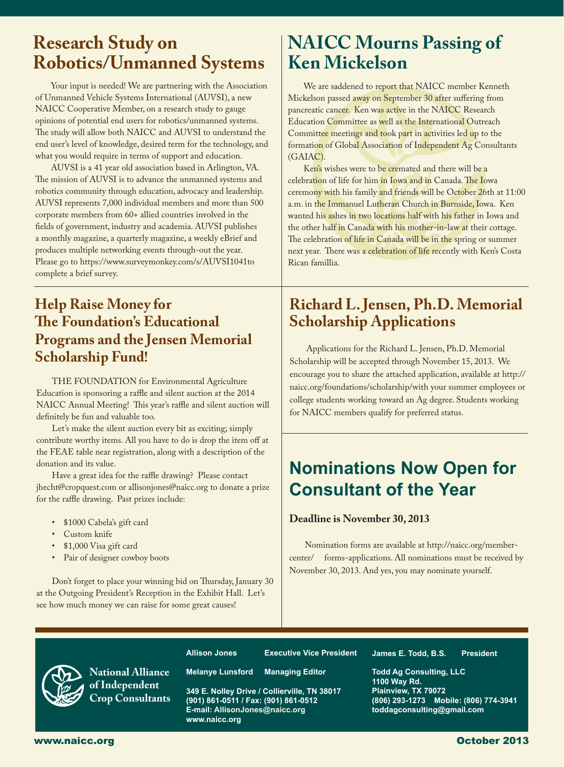## **Research Study on Robotics/Unmanned Systems**

l

Your input is needed! We are partnering with the Association of Unmanned Vehicle Systems International (AUVSI), a new NAICC Cooperative Member, on a research study to gauge opinions of potential end users for robotics/unmanned systems. The study will allow both NAICC and AUVSI to understand the end user's level of knowledge, desired term for the technology, and what you would require in terms of support and education.

AUVSI is a 41 year old association based in Arlington, VA. The mission of AUVSI is to advance the unmanned systems and robotics community through education, advocacy and leadership. AUVSI represents 7,000 individual members and more than 500 corporate members from 60+ allied countries involved in the fields of government, industry and academia. AUVSI publishes a monthly magazine, a quarterly magazine, a weekly eBrief and produces multiple networking events through-out the year. Please go to https://www.surveymonkey.com/s/AUVSI1041to complete a brief survey.

## **Help Raise Money for The Foundation's Educational Programs and the Jensen Memorial Scholarship Fund!**

THE FOUNDATION for Environmental Agriculture Education is sponsoring a raffle and silent auction at the 2014 NAICC Annual Meeting! This year's raffle and silent auction will definitely be fun and valuable too.

Let's make the silent auction every bit as exciting; simply contribute worthy items. All you have to do is drop the item off at the FEAE table near registration, along with a description of the donation and its value.

Have a great idea for the raffle drawing? Please contact jhecht@cropquest.com or allisonjones@naicc.org to donate a prize for the raffle drawing. Past prizes include:

- \$1000 Cabela's gift card
- Custom knife
- \$1,000 Visa gift card
- Pair of designer cowboy boots

Don't forget to place your winning bid on Thursday, January 30 at the Outgoing President's Reception in the Exhibit Hall. Let's see how much money we can raise for some great causes!

## **NAICC Mourns Passing of Ken Mickelson**

We are saddened to report that NAICC member Kenneth Mickelson passed away on September 30 after suffering from pancreatic cancer. Ken was active in the NAICC Research Education Committee as well as the International Outreach Committee meetings and took part in activities led up to the formation of Global Association of Independent Ag Consultants (GAIAC).

Ken's wishes were to be cremated and there will be a celebration of life for him in Iowa and in Canada. The Iowa ceremony with his family and friends will be October 26th at 11:00 a.m. in the Immanuel Lutheran Church in Burnside, Iowa. Ken wanted his ashes in two locations half with his father in Iowa and the other half in Canada with his mother-in-law at their cottage. The celebration of life in Canada will be in the spring or summer next year. There was a celebration of life recently with Ken's Costa Rican famillia.

## **Richard L. Jensen, Ph.D. Memorial Scholarship Applications**

 Applications for the Richard L. Jensen, Ph.D. Memorial Scholarship will be accepted through November 15, 2013. We encourage you to share the attached application, available at http:// naicc.org/foundations/scholarship/with your summer employees or college students working toward an Ag degree. Students working for NAICC members qualify for preferred status.

## **Nominations Now Open for Consultant of the Year**

**Deadline is November 30, 2013**

Nomination forms are available at http://naicc.org/membercenter/ forms-applications. All nominations must be received by November 30, 2013. And yes, you may nominate yourself.

**Allison Jones Executive Vice President**

**James E. Todd, B.S. President**

**Todd Ag Consulting, LLC 1100 Way Rd. Plainview, TX 79072 (806) 293-1273 Mobile: (806) 774-3941 toddagconsulting@gmail.com**

**National Alliance of Independent Crop Consultants**

**349 E. Nolley Drive / Collierville, TN 38017 (901) 861-0511 / Fax: (901) 861-0512 E-mail: AllisonJones@naicc.org www.naicc.org**

**Melanye Lunsford Managing Editor**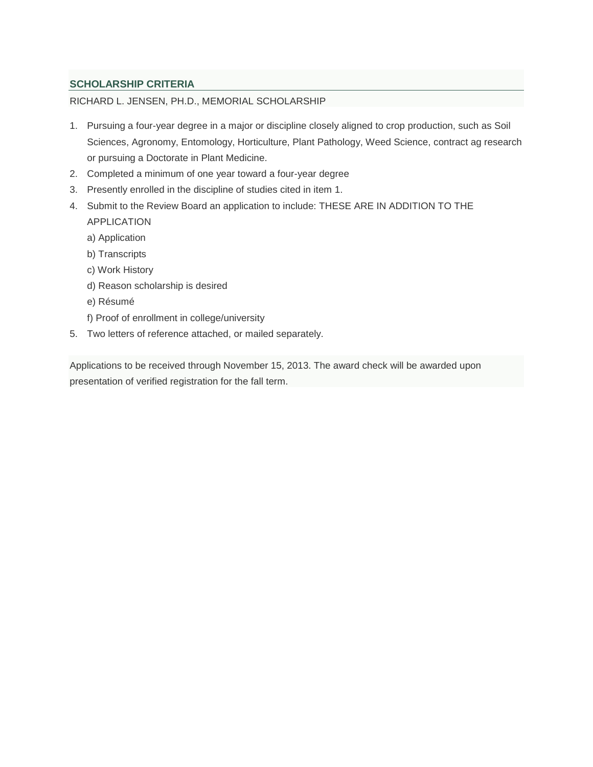#### **SCHOLARSHIP CRITERIA**

#### RICHARD L. JENSEN, PH.D., MEMORIAL SCHOLARSHIP

- 1. Pursuing a four-year degree in a major or discipline closely aligned to crop production, such as Soil Sciences, Agronomy, Entomology, Horticulture, Plant Pathology, Weed Science, contract ag research or pursuing a Doctorate in Plant Medicine.
- 2. Completed a minimum of one year toward a four-year degree
- 3. Presently enrolled in the discipline of studies cited in item 1.
- 4. Submit to the Review Board an application to include: THESE ARE IN ADDITION TO THE APPLICATION
	- a) Application
	- b) Transcripts
	- c) Work History
	- d) Reason scholarship is desired
	- e) Résumé
	- f) Proof of enrollment in college/university
- 5. Two letters of reference attached, or mailed separately.

Applications to be received through November 15, 2013. The award check will be awarded upon presentation of verified registration for the fall term.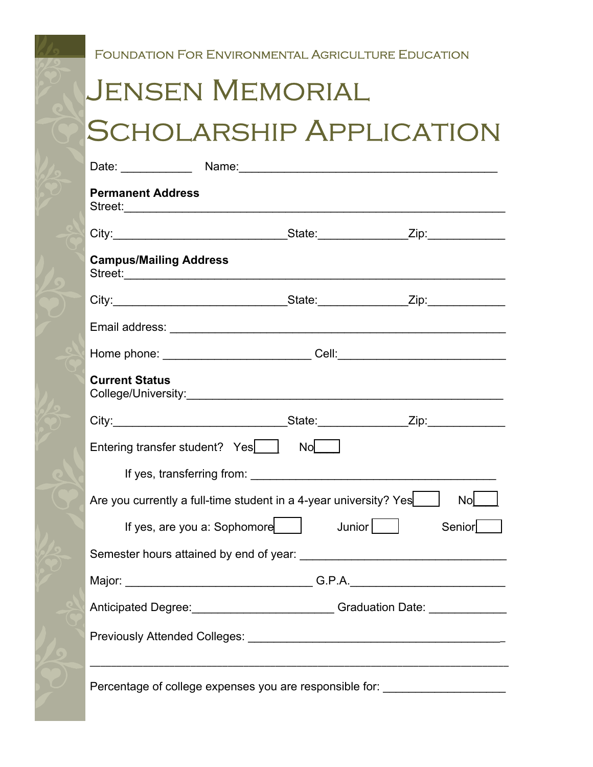### FOUNDATION FOR ENVIRONMENTAL AGRICULTURE EDUCATION

# Jensen Memorial Scholarship Application

| <b>Permanent Address</b><br>Street: <u>Communication</u>                                                                                                                                                                                                |    |        |
|---------------------------------------------------------------------------------------------------------------------------------------------------------------------------------------------------------------------------------------------------------|----|--------|
|                                                                                                                                                                                                                                                         |    |        |
| <b>Campus/Mailing Address</b>                                                                                                                                                                                                                           |    |        |
|                                                                                                                                                                                                                                                         |    |        |
|                                                                                                                                                                                                                                                         |    |        |
|                                                                                                                                                                                                                                                         |    |        |
| <b>Current Status</b><br>College/University: example and the college of the college of the college of the college of the college of the college of the college of the college of the college of the college of the college of the college of the colleg |    |        |
|                                                                                                                                                                                                                                                         |    |        |
| Entering transfer student? Yes                                                                                                                                                                                                                          | No |        |
|                                                                                                                                                                                                                                                         |    |        |
| Are you currently a full-time student in a 4-year university? Yes                                                                                                                                                                                       |    | Nol    |
| If yes, are you a: Sophomore $\Box$ Junior $\Box$                                                                                                                                                                                                       |    | Senior |
|                                                                                                                                                                                                                                                         |    |        |
|                                                                                                                                                                                                                                                         |    |        |
| Anticipated Degree: ______________________________Graduation Date: _____________                                                                                                                                                                        |    |        |
|                                                                                                                                                                                                                                                         |    |        |
|                                                                                                                                                                                                                                                         |    |        |
| Percentage of college expenses you are responsible for: ________________________                                                                                                                                                                        |    |        |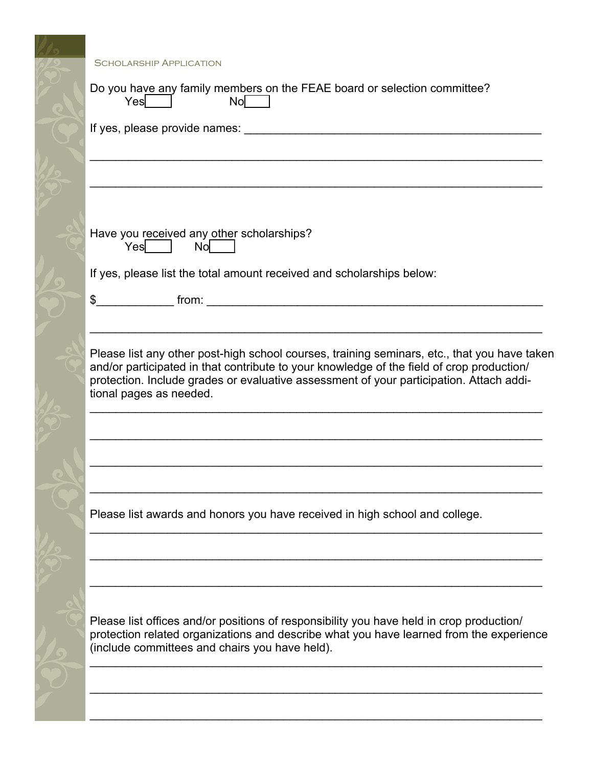SCHOLARCHIP APPLICATION

| OUNULARSHIP APPLIUATIUN                                                                                                                                                                                                                                                                                         |
|-----------------------------------------------------------------------------------------------------------------------------------------------------------------------------------------------------------------------------------------------------------------------------------------------------------------|
| Do you have any family members on the FEAE board or selection committee?<br>No<br>Yes                                                                                                                                                                                                                           |
| If yes, please provide names:                                                                                                                                                                                                                                                                                   |
|                                                                                                                                                                                                                                                                                                                 |
| Have you received any other scholarships?<br>Yes   No                                                                                                                                                                                                                                                           |
| If yes, please list the total amount received and scholarships below:                                                                                                                                                                                                                                           |
| $\mathbb{S}$                                                                                                                                                                                                                                                                                                    |
| Please list any other post-high school courses, training seminars, etc., that you have taken<br>and/or participated in that contribute to your knowledge of the field of crop production/<br>protection. Include grades or evaluative assessment of your participation. Attach addi-<br>tional pages as needed. |
|                                                                                                                                                                                                                                                                                                                 |
| Please list awards and honors you have received in high school and college.                                                                                                                                                                                                                                     |
|                                                                                                                                                                                                                                                                                                                 |
| Please list offices and/or positions of responsibility you have held in crop production/<br>protection related organizations and describe what you have learned from the experience<br>(include committees and chairs you have held).                                                                           |
|                                                                                                                                                                                                                                                                                                                 |
|                                                                                                                                                                                                                                                                                                                 |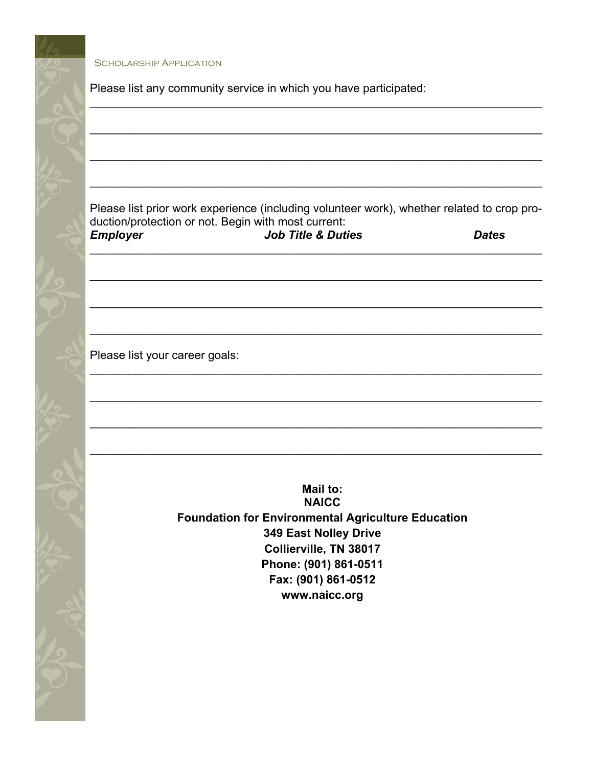SCHOLARSHIP APPLICATION

Please list any community service in which you have participated:

Please list prior work experience (including volunteer work), whether related to crop production/protection or not. Begin with most current: *Employer Job Title & Duties Dates* 

\_\_\_\_\_\_\_\_\_\_\_\_\_\_\_\_\_\_\_\_\_\_\_\_\_\_\_\_\_\_\_\_\_\_\_\_\_\_\_\_\_\_\_\_\_\_\_\_\_\_\_\_\_\_\_\_\_\_\_\_\_\_\_\_\_\_\_\_\_\_

\_\_\_\_\_\_\_\_\_\_\_\_\_\_\_\_\_\_\_\_\_\_\_\_\_\_\_\_\_\_\_\_\_\_\_\_\_\_\_\_\_\_\_\_\_\_\_\_\_\_\_\_\_\_\_\_\_\_\_\_\_\_\_\_\_\_\_\_\_\_

\_\_\_\_\_\_\_\_\_\_\_\_\_\_\_\_\_\_\_\_\_\_\_\_\_\_\_\_\_\_\_\_\_\_\_\_\_\_\_\_\_\_\_\_\_\_\_\_\_\_\_\_\_\_\_\_\_\_\_\_\_\_\_\_\_\_\_\_\_\_

\_\_\_\_\_\_\_\_\_\_\_\_\_\_\_\_\_\_\_\_\_\_\_\_\_\_\_\_\_\_\_\_\_\_\_\_\_\_\_\_\_\_\_\_\_\_\_\_\_\_\_\_\_\_\_\_\_\_\_\_\_\_\_\_\_\_\_\_\_\_

\_\_\_\_\_\_\_\_\_\_\_\_\_\_\_\_\_\_\_\_\_\_\_\_\_\_\_\_\_\_\_\_\_\_\_\_\_\_\_\_\_\_\_\_\_\_\_\_\_\_\_\_\_\_\_\_\_\_\_\_\_\_\_\_\_\_\_\_\_\_

\_\_\_\_\_\_\_\_\_\_\_\_\_\_\_\_\_\_\_\_\_\_\_\_\_\_\_\_\_\_\_\_\_\_\_\_\_\_\_\_\_\_\_\_\_\_\_\_\_\_\_\_\_\_\_\_\_\_\_\_\_\_\_\_\_\_\_\_\_\_

\_\_\_\_\_\_\_\_\_\_\_\_\_\_\_\_\_\_\_\_\_\_\_\_\_\_\_\_\_\_\_\_\_\_\_\_\_\_\_\_\_\_\_\_\_\_\_\_\_\_\_\_\_\_\_\_\_\_\_\_\_\_\_\_\_\_\_\_\_\_

\_\_\_\_\_\_\_\_\_\_\_\_\_\_\_\_\_\_\_\_\_\_\_\_\_\_\_\_\_\_\_\_\_\_\_\_\_\_\_\_\_\_\_\_\_\_\_\_\_\_\_\_\_\_\_\_\_\_\_\_\_\_\_\_\_\_\_\_\_\_

\_\_\_\_\_\_\_\_\_\_\_\_\_\_\_\_\_\_\_\_\_\_\_\_\_\_\_\_\_\_\_\_\_\_\_\_\_\_\_\_\_\_\_\_\_\_\_\_\_\_\_\_\_\_\_\_\_\_\_\_\_\_\_\_\_\_\_\_\_\_

\_\_\_\_\_\_\_\_\_\_\_\_\_\_\_\_\_\_\_\_\_\_\_\_\_\_\_\_\_\_\_\_\_\_\_\_\_\_\_\_\_\_\_\_\_\_\_\_\_\_\_\_\_\_\_\_\_\_\_\_\_\_\_\_\_\_\_\_\_\_

\_\_\_\_\_\_\_\_\_\_\_\_\_\_\_\_\_\_\_\_\_\_\_\_\_\_\_\_\_\_\_\_\_\_\_\_\_\_\_\_\_\_\_\_\_\_\_\_\_\_\_\_\_\_\_\_\_\_\_\_\_\_\_\_\_\_\_\_\_\_

\_\_\_\_\_\_\_\_\_\_\_\_\_\_\_\_\_\_\_\_\_\_\_\_\_\_\_\_\_\_\_\_\_\_\_\_\_\_\_\_\_\_\_\_\_\_\_\_\_\_\_\_\_\_\_\_\_\_\_\_\_\_\_\_\_\_\_\_\_\_

Please list your career goals:

**Mail to: NAICC Foundation for Environmental Agriculture Education 349 East Nolley Drive Collierville, TN 38017 Phone: (901) 861-0511 Fax: (901) 861-0512 www.naicc.org**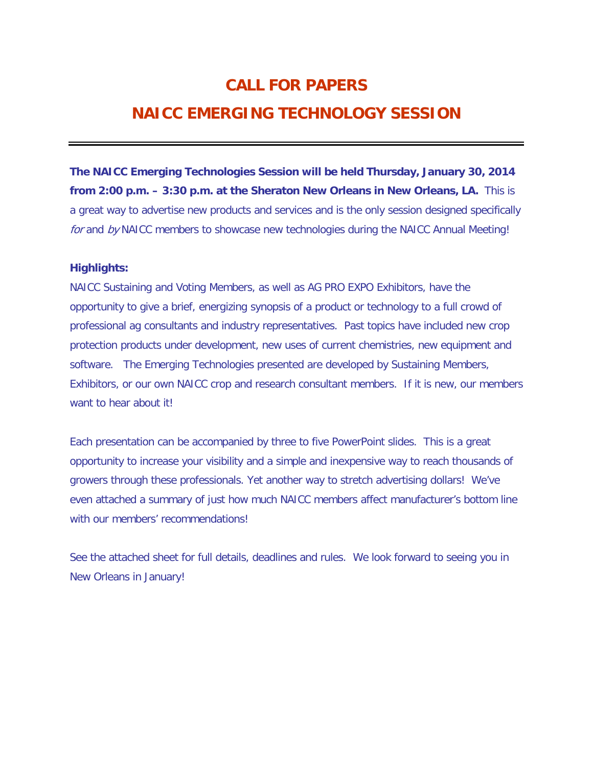## **CALL FOR PAPERS**

## **NAICC EMERGING TECHNOLOGY SESSION**

**The NAICC Emerging Technologies Session will be held Thursday, January 30, 2014 from 2:00 p.m. – 3:30 p.m. at the Sheraton New Orleans in New Orleans, LA.** This is a great way to advertise new products and services and is the only session designed specifically for and  $by$  NAICC members to showcase new technologies during the NAICC Annual Meeting!

#### **Highlights:**

NAICC Sustaining and Voting Members, as well as AG PRO EXPO Exhibitors, have the opportunity to give a brief, energizing synopsis of a product or technology to a full crowd of professional ag consultants and industry representatives. Past topics have included new crop protection products under development, new uses of current chemistries, new equipment and software. The Emerging Technologies presented are developed by Sustaining Members, Exhibitors, or our own NAICC crop and research consultant members. If it is new, our members want to hear about it!

Each presentation can be accompanied by three to five PowerPoint slides. This is a great opportunity to increase your visibility and a simple and inexpensive way to reach thousands of growers through these professionals. Yet another way to stretch advertising dollars! We've even attached a summary of just how much NAICC members affect manufacturer's bottom line with our members' recommendations!

See the attached sheet for full details, deadlines and rules. We look forward to seeing you in New Orleans in January!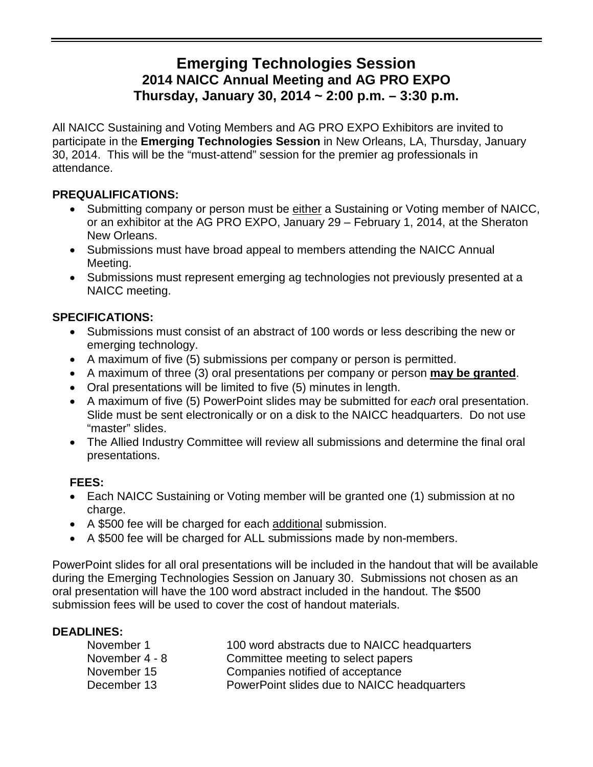## **Emerging Technologies Session 2014 NAICC Annual Meeting and AG PRO EXPO Thursday, January 30, 2014 ~ 2:00 p.m. – 3:30 p.m.**

All NAICC Sustaining and Voting Members and AG PRO EXPO Exhibitors are invited to participate in the **Emerging Technologies Session** in New Orleans, LA, Thursday, January 30, 2014. This will be the "must-attend" session for the premier ag professionals in attendance.

#### **PREQUALIFICATIONS:**

- Submitting company or person must be either a Sustaining or Voting member of NAICC, or an exhibitor at the AG PRO EXPO, January 29 – February 1, 2014, at the Sheraton New Orleans.
- Submissions must have broad appeal to members attending the NAICC Annual Meeting.
- Submissions must represent emerging ag technologies not previously presented at a NAICC meeting.

#### **SPECIFICATIONS:**

- Submissions must consist of an abstract of 100 words or less describing the new or emerging technology.
- A maximum of five (5) submissions per company or person is permitted.
- A maximum of three (3) oral presentations per company or person **may be granted**.
- Oral presentations will be limited to five (5) minutes in length.
- A maximum of five (5) PowerPoint slides may be submitted for *each* oral presentation. Slide must be sent electronically or on a disk to the NAICC headquarters. Do not use "master" slides.
- The Allied Industry Committee will review all submissions and determine the final oral presentations.

#### **FEES:**

- Each NAICC Sustaining or Voting member will be granted one (1) submission at no charge.
- A \$500 fee will be charged for each additional submission.
- A \$500 fee will be charged for ALL submissions made by non-members.

PowerPoint slides for all oral presentations will be included in the handout that will be available during the Emerging Technologies Session on January 30. Submissions not chosen as an oral presentation will have the 100 word abstract included in the handout. The \$500 submission fees will be used to cover the cost of handout materials.

#### **DEADLINES:**

| November 1     | 100 word abstracts due to NAICC headquarters |
|----------------|----------------------------------------------|
| November 4 - 8 | Committee meeting to select papers           |
| November 15    | Companies notified of acceptance             |
| December 13    | PowerPoint slides due to NAICC headquarters  |
|                |                                              |